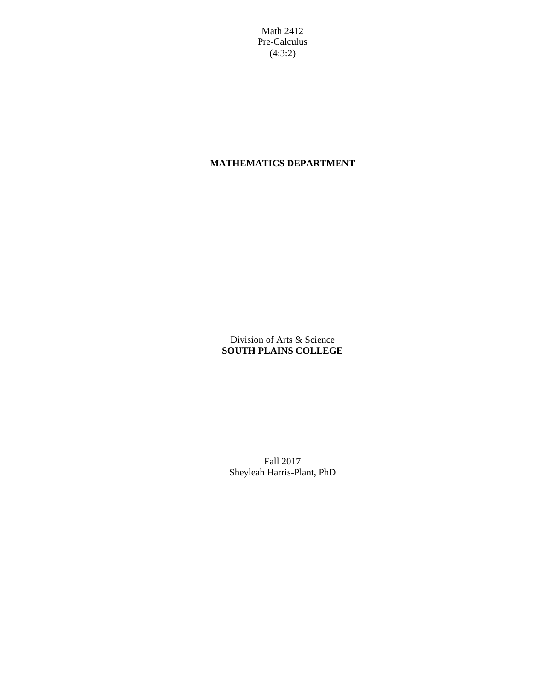Math 2412 Pre-Calculus (4:3:2)

## **MATHEMATICS DEPARTMENT**

Division of Arts & Science **SOUTH PLAINS COLLEGE**

Fall 2017 Sheyleah Harris-Plant, PhD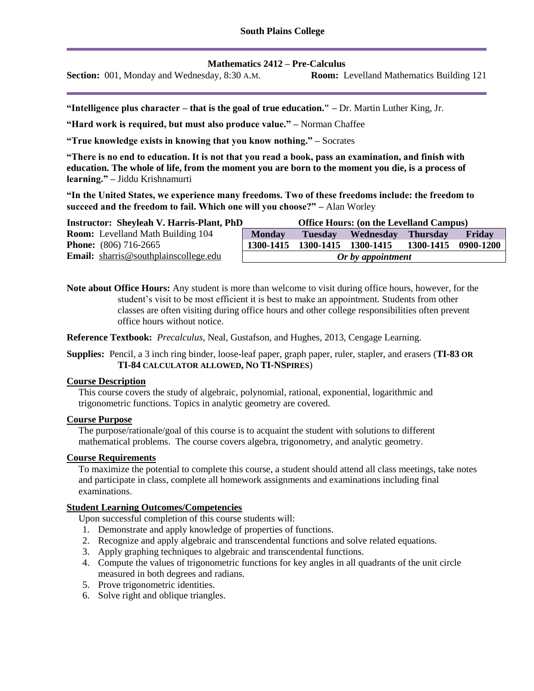**Mathematics 2412 – Pre-Calculus**

**Section:** 001, Monday and Wednesday, 8:30 A.M. **Room:** Levelland Mathematics Building 121

**"Intelligence plus character – that is the goal of true education." –** Dr. Martin Luther King, Jr.

**"Hard work is required, but must also produce value." –** Norman Chaffee

**"True knowledge exists in knowing that you know nothing." –** Socrates

**"There is no end to education. It is not that you read a book, pass an examination, and finish with education. The whole of life, from the moment you are born to the moment you die, is a process of learning." –** Jiddu Krishnamurti

**"In the United States, we experience many freedoms. Two of these freedoms include: the freedom to succeed and the freedom to fail. Which one will you choose?" –** Alan Worley

| <b>Instructor: Sheyleah V. Harris-Plant, PhD</b> | <b>Office Hours: (on the Levelland Campus)</b> |  |                            |           |           |
|--------------------------------------------------|------------------------------------------------|--|----------------------------|-----------|-----------|
| <b>Room:</b> Levelland Math Building 104         | <b>Monday</b>                                  |  | Tuesday Wednesday Thursday |           | Friday    |
| <b>Phone:</b> $(806)$ 716-2665                   | 1300-1415                                      |  | 1300-1415 1300-1415        | 1300-1415 | 0900-1200 |
| <b>Email:</b> sharris@southplainscollege.edu     | Or by appointment                              |  |                            |           |           |

**Note about Office Hours:** Any student is more than welcome to visit during office hours, however, for the student's visit to be most efficient it is best to make an appointment. Students from other classes are often visiting during office hours and other college responsibilities often prevent office hours without notice.

**Reference Textbook:** *Precalculus*, Neal, Gustafson, and Hughes, 2013, Cengage Learning.

**Supplies:** Pencil, a 3 inch ring binder, loose-leaf paper, graph paper, ruler, stapler, and erasers (**TI-83 OR TI-84 CALCULATOR ALLOWED, NO TI-NSPIRES**)

#### **Course Description**

This course covers the study of algebraic, polynomial, rational, exponential, logarithmic and trigonometric functions. Topics in analytic geometry are covered.

#### **Course Purpose**

The purpose/rationale/goal of this course is to acquaint the student with solutions to different mathematical problems. The course covers algebra, trigonometry, and analytic geometry.

#### **Course Requirements**

To maximize the potential to complete this course, a student should attend all class meetings, take notes and participate in class, complete all homework assignments and examinations including final examinations.

#### **Student Learning Outcomes/Competencies**

Upon successful completion of this course students will:

- 1. Demonstrate and apply knowledge of properties of functions.
- 2. Recognize and apply algebraic and transcendental functions and solve related equations.
- 3. Apply graphing techniques to algebraic and transcendental functions.
- 4. Compute the values of trigonometric functions for key angles in all quadrants of the unit circle measured in both degrees and radians.
- 5. Prove trigonometric identities.
- 6. Solve right and oblique triangles.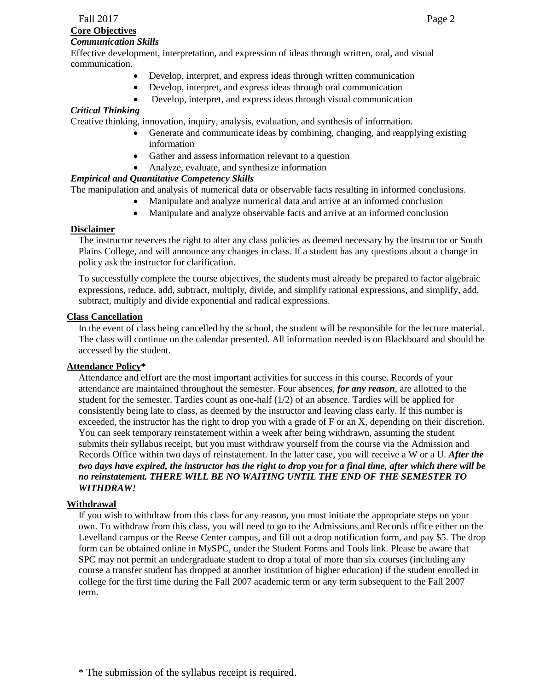## **Core Objectives**

#### *Communication Skills*

Effective development, interpretation, and expression of ideas through written, oral, and visual communication.

- Develop, interpret, and express ideas through written communication
- Develop, interpret, and express ideas through oral communication
- Develop, interpret, and express ideas through visual communication

### *Critical Thinking*

Creative thinking, innovation, inquiry, analysis, evaluation, and synthesis of information.

- Generate and communicate ideas by combining, changing, and reapplying existing information
- Gather and assess information relevant to a question
- Analyze, evaluate, and synthesize information

#### *Empirical and Quantitative Competency Skills*

The manipulation and analysis of numerical data or observable facts resulting in informed conclusions.

- Manipulate and analyze numerical data and arrive at an informed conclusion
- Manipulate and analyze observable facts and arrive at an informed conclusion

#### **Disclaimer**

The instructor reserves the right to alter any class policies as deemed necessary by the instructor or South Plains College, and will announce any changes in class. If a student has any questions about a change in policy ask the instructor for clarification.

To successfully complete the course objectives, the students must already be prepared to factor algebraic expressions, reduce, add, subtract, multiply, divide, and simplify rational expressions, and simplify, add, subtract, multiply and divide exponential and radical expressions.

#### **Class Cancellation**

In the event of class being cancelled by the school, the student will be responsible for the lecture material. The class will continue on the calendar presented. All information needed is on Blackboard and should be accessed by the student.

#### **Attendance Policy\***

Attendance and effort are the most important activities for success in this course. Records of your attendance are maintained throughout the semester. Four absences, *for any reason*, are allotted to the student for the semester. Tardies count as one-half (1/2) of an absence. Tardies will be applied for consistently being late to class, as deemed by the instructor and leaving class early. If this number is exceeded, the instructor has the right to drop you with a grade of F or an X, depending on their discretion. You can seek temporary reinstatement within a week after being withdrawn, assuming the student submits their syllabus receipt, but you must withdraw yourself from the course via the Admission and Records Office within two days of reinstatement. In the latter case, you will receive a W or a U. *After the two days have expired, the instructor has the right to drop you for a final time, after which there will be no reinstatement. THERE WILL BE NO WAITING UNTIL THE END OF THE SEMESTER TO WITHDRAW!*

### **Withdrawal**

If you wish to withdraw from this class for any reason, you must initiate the appropriate steps on your own. To withdraw from this class, you will need to go to the Admissions and Records office either on the Levelland campus or the Reese Center campus, and fill out a drop notification form, and pay \$5. The drop form can be obtained online in MySPC, under the Student Forms and Tools link. Please be aware that SPC may not permit an undergraduate student to drop a total of more than six courses (including any course a transfer student has dropped at another institution of higher education) if the student enrolled in college for the first time during the Fall 2007 academic term or any term subsequent to the Fall 2007 term.

\* The submission of the syllabus receipt is required.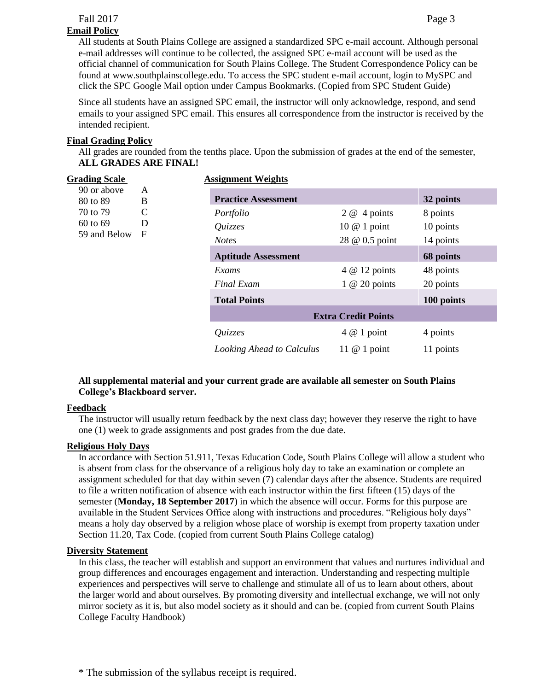## **Email Policy**

All students at South Plains College are assigned a standardized SPC e-mail account. Although personal e-mail addresses will continue to be collected, the assigned SPC e-mail account will be used as the official channel of communication for South Plains College. The Student Correspondence Policy can be found at www.southplainscollege.edu. To access the SPC student e-mail account, login to MySPC and click the SPC Google Mail option under Campus Bookmarks. (Copied from SPC Student Guide)

Since all students have an assigned SPC email, the instructor will only acknowledge, respond, and send emails to your assigned SPC email. This ensures all correspondence from the instructor is received by the intended recipient.

## **Final Grading Policy**

All grades are rounded from the tenths place. Upon the submission of grades at the end of the semester, **ALL GRADES ARE FINAL!**

| <b>Grading Scale</b>                                                                               |                            | <b>Assignment Weights</b>  |                |            |  |
|----------------------------------------------------------------------------------------------------|----------------------------|----------------------------|----------------|------------|--|
| 90 or above<br>A<br>B<br>80 to 89<br>C<br>70 to 79<br>60 to 69<br>D<br>59 and Below<br>$\mathbf F$ |                            | <b>Practice Assessment</b> |                | 32 points  |  |
|                                                                                                    | Portfolio                  | $2 \omega$ 4 points        | 8 points       |            |  |
|                                                                                                    |                            | Quizzes                    | 10 @ 1 point   | 10 points  |  |
|                                                                                                    |                            | <b>Notes</b>               | 28 @ 0.5 point | 14 points  |  |
|                                                                                                    | <b>Aptitude Assessment</b> |                            | 68 points      |            |  |
|                                                                                                    | Exams                      | $4 \otimes 12$ points      | 48 points      |            |  |
|                                                                                                    | <b>Final Exam</b>          | 1 @ 20 points              | 20 points      |            |  |
|                                                                                                    |                            | <b>Total Points</b>        |                | 100 points |  |
|                                                                                                    |                            | <b>Extra Credit Points</b> |                |            |  |
|                                                                                                    | Quizzes                    | $4 \& 1$ point             | 4 points       |            |  |
|                                                                                                    |                            | Looking Ahead to Calculus  | 11 $@$ 1 point | 11 points  |  |

### **All supplemental material and your current grade are available all semester on South Plains College's Blackboard server.**

### **Feedback**

The instructor will usually return feedback by the next class day; however they reserve the right to have one (1) week to grade assignments and post grades from the due date.

### **Religious Holy Days**

In accordance with Section 51.911, Texas Education Code, South Plains College will allow a student who is absent from class for the observance of a religious holy day to take an examination or complete an assignment scheduled for that day within seven (7) calendar days after the absence. Students are required to file a written notification of absence with each instructor within the first fifteen (15) days of the semester (**Monday, 18 September 2017**) in which the absence will occur. Forms for this purpose are available in the Student Services Office along with instructions and procedures. "Religious holy days" means a holy day observed by a religion whose place of worship is exempt from property taxation under Section 11.20, Tax Code. (copied from current South Plains College catalog)

### **Diversity Statement**

In this class, the teacher will establish and support an environment that values and nurtures individual and group differences and encourages engagement and interaction. Understanding and respecting multiple experiences and perspectives will serve to challenge and stimulate all of us to learn about others, about the larger world and about ourselves. By promoting diversity and intellectual exchange, we will not only mirror society as it is, but also model society as it should and can be. (copied from current South Plains College Faculty Handbook)

\* The submission of the syllabus receipt is required.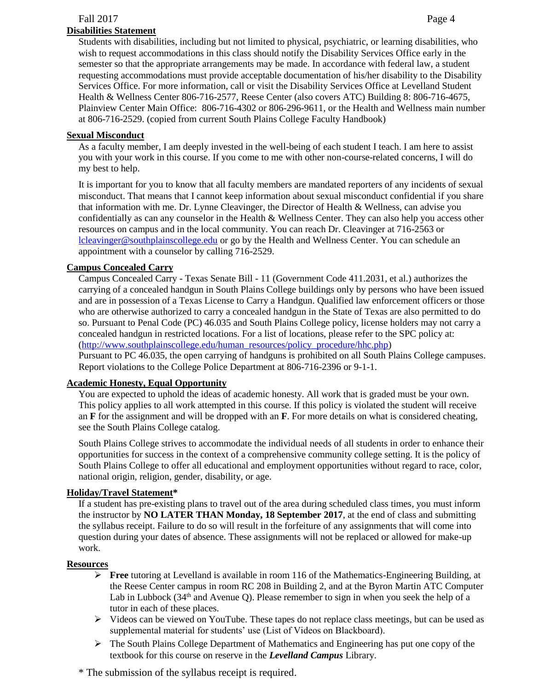#### **Disabilities Statement**

Students with disabilities, including but not limited to physical, psychiatric, or learning disabilities, who wish to request accommodations in this class should notify the Disability Services Office early in the semester so that the appropriate arrangements may be made. In accordance with federal law, a student requesting accommodations must provide acceptable documentation of his/her disability to the Disability Services Office. For more information, call or visit the Disability Services Office at Levelland Student Health & Wellness Center 806-716-2577, Reese Center (also covers ATC) Building 8: 806-716-4675, Plainview Center Main Office: 806-716-4302 or 806-296-9611, or the Health and Wellness main number at 806-716-2529. (copied from current South Plains College Faculty Handbook)

#### **Sexual Misconduct**

As a faculty member, I am deeply invested in the well-being of each student I teach. I am here to assist you with your work in this course. If you come to me with other non-course-related concerns, I will do my best to help.

It is important for you to know that all faculty members are mandated reporters of any incidents of sexual misconduct. That means that I cannot keep information about sexual misconduct confidential if you share that information with me. Dr. Lynne Cleavinger, the Director of Health & Wellness, can advise you confidentially as can any counselor in the Health & Wellness Center. They can also help you access other resources on campus and in the local community. You can reach Dr. Cleavinger at 716-2563 or [lcleavinger@southplainscollege.edu](mailto:lcleavinger@southplainscollege.edu) or go by the Health and Wellness Center. You can schedule an appointment with a counselor by calling 716-2529.

### **Campus Concealed Carry**

Campus Concealed Carry - Texas Senate Bill - 11 (Government Code 411.2031, et al.) authorizes the carrying of a concealed handgun in South Plains College buildings only by persons who have been issued and are in possession of a Texas License to Carry a Handgun. Qualified law enforcement officers or those who are otherwise authorized to carry a concealed handgun in the State of Texas are also permitted to do so. Pursuant to Penal Code (PC) 46.035 and South Plains College policy, license holders may not carry a concealed handgun in restricted locations. For a list of locations, please refer to the SPC policy at: [\(http://www.southplainscollege.edu/human\\_resources/policy\\_procedure/hhc.php\)](http://www.southplainscollege.edu/human_resources/policy_procedure/hhc.php)

Pursuant to PC 46.035, the open carrying of handguns is prohibited on all South Plains College campuses. Report violations to the College Police Department at 806-716-2396 or 9-1-1.

### **Academic Honesty, Equal Opportunity**

You are expected to uphold the ideas of academic honesty. All work that is graded must be your own. This policy applies to all work attempted in this course. If this policy is violated the student will receive an **F** for the assignment and will be dropped with an **F**. For more details on what is considered cheating, see the South Plains College catalog.

South Plains College strives to accommodate the individual needs of all students in order to enhance their opportunities for success in the context of a comprehensive community college setting. It is the policy of South Plains College to offer all educational and employment opportunities without regard to race, color, national origin, religion, gender, disability, or age.

### **Holiday/Travel Statement\***

If a student has pre-existing plans to travel out of the area during scheduled class times, you must inform the instructor by **NO LATER THAN Monday, 18 September 2017**, at the end of class and submitting the syllabus receipt. Failure to do so will result in the forfeiture of any assignments that will come into question during your dates of absence. These assignments will not be replaced or allowed for make-up work.

#### **Resources**

- ➢ **Free** tutoring at Levelland is available in room 116 of the Mathematics-Engineering Building, at the Reese Center campus in room RC 208 in Building 2, and at the Byron Martin ATC Computer Lab in Lubbock ( $34<sup>th</sup>$  and Avenue Q). Please remember to sign in when you seek the help of a tutor in each of these places.
- $\triangleright$  Videos can be viewed on YouTube. These tapes do not replace class meetings, but can be used as supplemental material for students' use (List of Videos on Blackboard).
- $\triangleright$  The South Plains College Department of Mathematics and Engineering has put one copy of the textbook for this course on reserve in the *Levelland Campus* Library.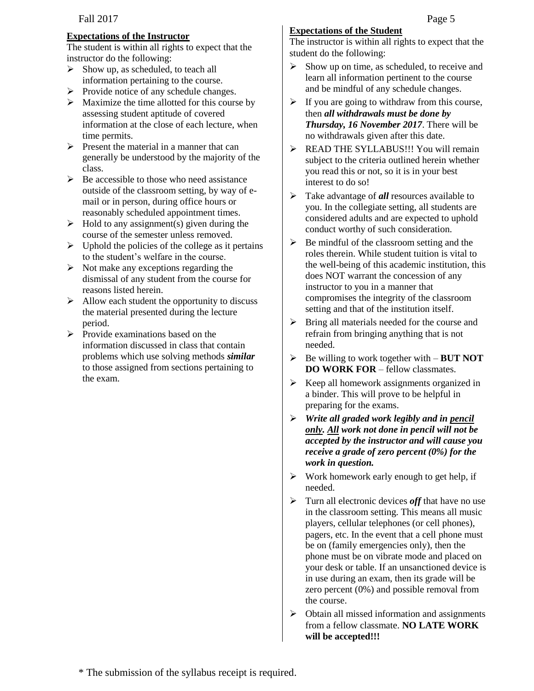### **Expectations of the Instructor**

The student is within all rights to expect that the instructor do the following:

- ➢ Show up, as scheduled, to teach all information pertaining to the course.
- $\triangleright$  Provide notice of any schedule changes.
- $\triangleright$  Maximize the time allotted for this course by assessing student aptitude of covered information at the close of each lecture, when time permits.
- $\triangleright$  Present the material in a manner that can generally be understood by the majority of the class.
- $\triangleright$  Be accessible to those who need assistance outside of the classroom setting, by way of email or in person, during office hours or reasonably scheduled appointment times.
- $\triangleright$  Hold to any assignment(s) given during the course of the semester unless removed.
- $\triangleright$  Uphold the policies of the college as it pertains to the student's welfare in the course.
- $\triangleright$  Not make any exceptions regarding the dismissal of any student from the course for reasons listed herein.
- $\triangleright$  Allow each student the opportunity to discuss the material presented during the lecture period.
- $\triangleright$  Provide examinations based on the information discussed in class that contain problems which use solving methods *similar* to those assigned from sections pertaining to the exam.

# **Expectations of the Student**

The instructor is within all rights to expect that the student do the following:

- $\triangleright$  Show up on time, as scheduled, to receive and learn all information pertinent to the course and be mindful of any schedule changes.
- $\triangleright$  If you are going to withdraw from this course, then *all withdrawals must be done by Thursday, 16 November 2017*. There will be no withdrawals given after this date.
- ➢ READ THE SYLLABUS!!! You will remain subject to the criteria outlined herein whether you read this or not, so it is in your best interest to do so!
- ➢ Take advantage of *all* resources available to you. In the collegiate setting, all students are considered adults and are expected to uphold conduct worthy of such consideration.
- $\triangleright$  Be mindful of the classroom setting and the roles therein. While student tuition is vital to the well-being of this academic institution, this does NOT warrant the concession of any instructor to you in a manner that compromises the integrity of the classroom setting and that of the institution itself.
- ➢ Bring all materials needed for the course and refrain from bringing anything that is not needed.
- ➢ Be willing to work together with **BUT NOT DO WORK FOR** – fellow classmates.
- ➢ Keep all homework assignments organized in a binder. This will prove to be helpful in preparing for the exams.
- ➢ *Write all graded work legibly and in pencil only. All work not done in pencil will not be accepted by the instructor and will cause you receive a grade of zero percent (0%) for the work in question.*
- $\triangleright$  Work homework early enough to get help, if needed.
- ➢ Turn all electronic devices *off* that have no use in the classroom setting. This means all music players, cellular telephones (or cell phones), pagers, etc. In the event that a cell phone must be on (family emergencies only), then the phone must be on vibrate mode and placed on your desk or table. If an unsanctioned device is in use during an exam, then its grade will be zero percent (0%) and possible removal from the course.
- ➢ Obtain all missed information and assignments from a fellow classmate. **NO LATE WORK will be accepted!!!**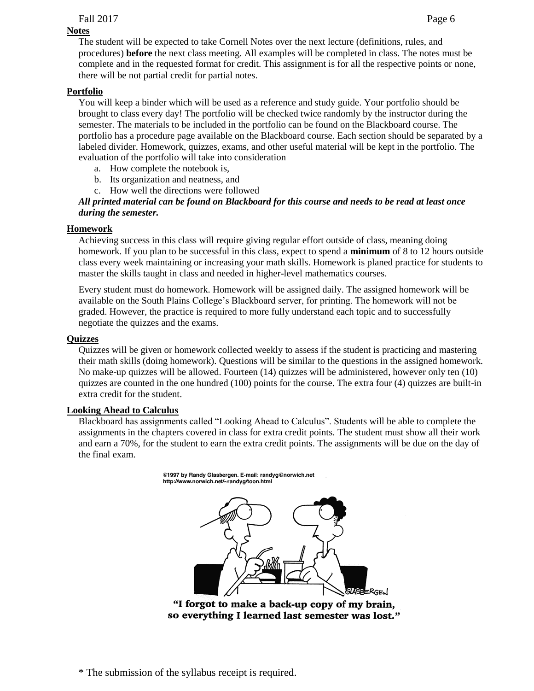## **Notes**

The student will be expected to take Cornell Notes over the next lecture (definitions, rules, and procedures) **before** the next class meeting. All examples will be completed in class. The notes must be complete and in the requested format for credit. This assignment is for all the respective points or none, there will be not partial credit for partial notes.

### **Portfolio**

You will keep a binder which will be used as a reference and study guide. Your portfolio should be brought to class every day! The portfolio will be checked twice randomly by the instructor during the semester. The materials to be included in the portfolio can be found on the Blackboard course. The portfolio has a procedure page available on the Blackboard course. Each section should be separated by a labeled divider. Homework, quizzes, exams, and other useful material will be kept in the portfolio. The evaluation of the portfolio will take into consideration

- a. How complete the notebook is,
- b. Its organization and neatness, and
- c. How well the directions were followed

#### *All printed material can be found on Blackboard for this course and needs to be read at least once during the semester.*

#### **Homework**

Achieving success in this class will require giving regular effort outside of class, meaning doing homework. If you plan to be successful in this class, expect to spend a **minimum** of 8 to 12 hours outside class every week maintaining or increasing your math skills. Homework is planed practice for students to master the skills taught in class and needed in higher-level mathematics courses.

Every student must do homework. Homework will be assigned daily. The assigned homework will be available on the South Plains College's Blackboard server, for printing. The homework will not be graded. However, the practice is required to more fully understand each topic and to successfully negotiate the quizzes and the exams.

#### **Quizzes**

Quizzes will be given or homework collected weekly to assess if the student is practicing and mastering their math skills (doing homework). Questions will be similar to the questions in the assigned homework. No make-up quizzes will be allowed. Fourteen (14) quizzes will be administered, however only ten (10) quizzes are counted in the one hundred (100) points for the course. The extra four (4) quizzes are built-in extra credit for the student.

#### **Looking Ahead to Calculus**

Blackboard has assignments called "Looking Ahead to Calculus". Students will be able to complete the assignments in the chapters covered in class for extra credit points. The student must show all their work and earn a 70%, for the student to earn the extra credit points. The assignments will be due on the day of the final exam.

> @1997 by Randy Glasbergen. E-mail: randyg@norwich.net http://www.norwich.net/~randyg/toon.html

"I forgot to make a back-up copy of my brain, so everything I learned last semester was lost."

\* The submission of the syllabus receipt is required.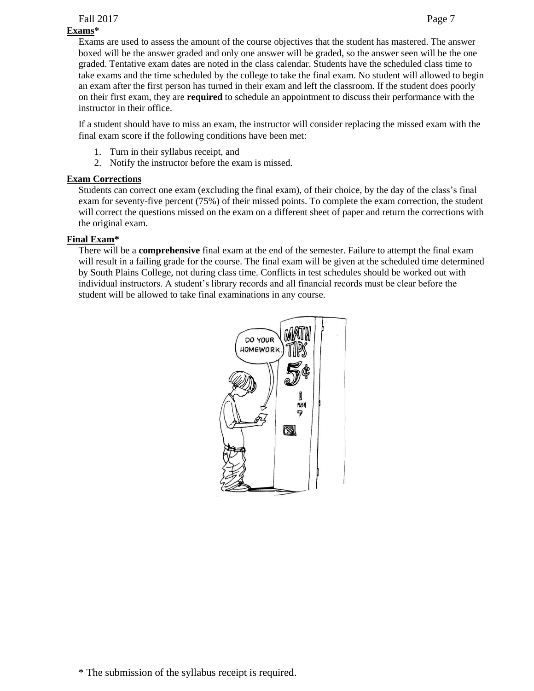## **Exams\***

Exams are used to assess the amount of the course objectives that the student has mastered. The answer boxed will be the answer graded and only one answer will be graded, so the answer seen will be the one graded. Tentative exam dates are noted in the class calendar. Students have the scheduled class time to take exams and the time scheduled by the college to take the final exam. No student will allowed to begin an exam after the first person has turned in their exam and left the classroom. If the student does poorly on their first exam, they are **required** to schedule an appointment to discuss their performance with the instructor in their office.

If a student should have to miss an exam, the instructor will consider replacing the missed exam with the final exam score if the following conditions have been met:

- 1. Turn in their syllabus receipt, and
- 2. Notify the instructor before the exam is missed.

## **Exam Corrections**

Students can correct one exam (excluding the final exam), of their choice, by the day of the class's final exam for seventy-five percent (75%) of their missed points. To complete the exam correction, the student will correct the questions missed on the exam on a different sheet of paper and return the corrections with the original exam.

## **Final Exam\***

There will be a **comprehensive** final exam at the end of the semester. Failure to attempt the final exam will result in a failing grade for the course. The final exam will be given at the scheduled time determined by South Plains College, not during class time. Conflicts in test schedules should be worked out with individual instructors. A student's library records and all financial records must be clear before the student will be allowed to take final examinations in any course.

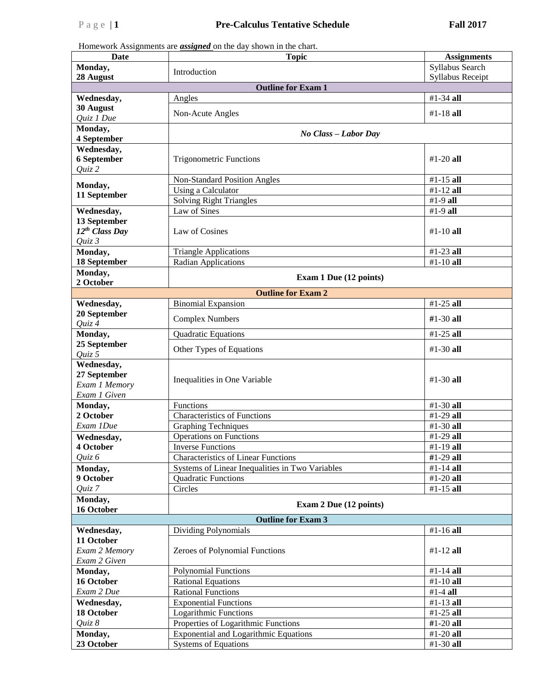Homework Assignments are *assigned* on the day shown in the chart.

| <b>Date</b>                   | <b>Topic</b>                                    | <b>Assignments</b>      |  |  |  |
|-------------------------------|-------------------------------------------------|-------------------------|--|--|--|
| Monday,                       |                                                 | Syllabus Search         |  |  |  |
| 28 August                     | Introduction                                    | <b>Syllabus Receipt</b> |  |  |  |
| <b>Outline for Exam 1</b>     |                                                 |                         |  |  |  |
| Wednesday,                    | Angles                                          | $#1-34$ all             |  |  |  |
| 30 August                     | Non-Acute Angles                                | $#1 - 18$ all           |  |  |  |
| Quiz 1 Due                    |                                                 |                         |  |  |  |
| Monday,                       | No Class - Labor Day                            |                         |  |  |  |
| 4 September<br>Wednesday,     |                                                 |                         |  |  |  |
| <b>6 September</b>            | <b>Trigonometric Functions</b>                  | $#1 - 20$ all           |  |  |  |
| $Q$ uiz 2                     |                                                 |                         |  |  |  |
|                               | Non-Standard Position Angles                    | #1-15 all               |  |  |  |
| Monday,                       | Using a Calculator                              | $#1-12$ all             |  |  |  |
| 11 September                  | Solving Right Triangles                         | #1-9 all                |  |  |  |
| Wednesday,                    | Law of Sines                                    | #1-9 all                |  |  |  |
| 13 September                  |                                                 |                         |  |  |  |
| 12 <sup>th</sup> Class Day    | Law of Cosines                                  | $#1 - 10$ all           |  |  |  |
| $Quiz$ 3                      |                                                 |                         |  |  |  |
| Monday,                       | <b>Triangle Applications</b>                    | $#1-23$ all             |  |  |  |
| 18 September                  | <b>Radian Applications</b>                      | $#1-10$ all             |  |  |  |
| Monday,                       | Exam 1 Due (12 points)                          |                         |  |  |  |
| 2 October                     |                                                 |                         |  |  |  |
|                               | <b>Outline for Exam 2</b>                       |                         |  |  |  |
| Wednesday,                    | <b>Binomial Expansion</b>                       | #1-25 all               |  |  |  |
| 20 September<br>Quiz 4        | <b>Complex Numbers</b>                          | $#1-30$ all             |  |  |  |
| Monday,                       | Quadratic Equations                             | $#1-25$ all             |  |  |  |
| 25 September                  | Other Types of Equations                        | $#1-30$ all             |  |  |  |
| Quiz 5                        |                                                 |                         |  |  |  |
| Wednesday,                    |                                                 |                         |  |  |  |
| 27 September                  | Inequalities in One Variable                    | $#1-30$ all             |  |  |  |
| Exam 1 Memory<br>Exam 1 Given |                                                 |                         |  |  |  |
| Monday,                       | Functions                                       | $#1-30$ all             |  |  |  |
| 2 October                     | <b>Characteristics of Functions</b>             | #1-29 all               |  |  |  |
| Exam 1Due                     | <b>Graphing Techniques</b>                      | #1-30 all               |  |  |  |
| Wednesday,                    | <b>Operations on Functions</b>                  | $#1-29$ all             |  |  |  |
| 4 October                     | <b>Inverse Functions</b>                        | #1-19 all               |  |  |  |
| Quiz 6                        | <b>Characteristics of Linear Functions</b>      | #1-29 all               |  |  |  |
| Monday,                       | Systems of Linear Inequalities in Two Variables | #1-14 all               |  |  |  |
| 9 October                     | <b>Quadratic Functions</b>                      | $#1-20$ all             |  |  |  |
| Quiz 7                        | Circles                                         | $#1-15$ all             |  |  |  |
| Monday,                       | Exam 2 Due (12 points)                          |                         |  |  |  |
| 16 October                    |                                                 |                         |  |  |  |
|                               | <b>Outline for Exam 3</b>                       |                         |  |  |  |
| Wednesday,                    | <b>Dividing Polynomials</b>                     | #1-16 all               |  |  |  |
| 11 October                    |                                                 |                         |  |  |  |
| Exam 2 Memory<br>Exam 2 Given | Zeroes of Polynomial Functions                  | $#1 - 12$ all           |  |  |  |
| Monday,                       | <b>Polynomial Functions</b>                     | #1-14 all               |  |  |  |
| 16 October                    | <b>Rational Equations</b>                       | $#1-10$ all             |  |  |  |
| Exam 2 Due                    | <b>Rational Functions</b>                       | #1-4 all                |  |  |  |
| Wednesday,                    | <b>Exponential Functions</b>                    | #1-13 all               |  |  |  |
| 18 October                    | <b>Logarithmic Functions</b>                    | $#1-25$ all             |  |  |  |
| Quiz 8                        | Properties of Logarithmic Functions             | $#1-20$ all             |  |  |  |
| Monday,                       | <b>Exponential and Logarithmic Equations</b>    | $#1-20$ all             |  |  |  |
| 23 October                    | <b>Systems of Equations</b>                     | #1-30 all               |  |  |  |